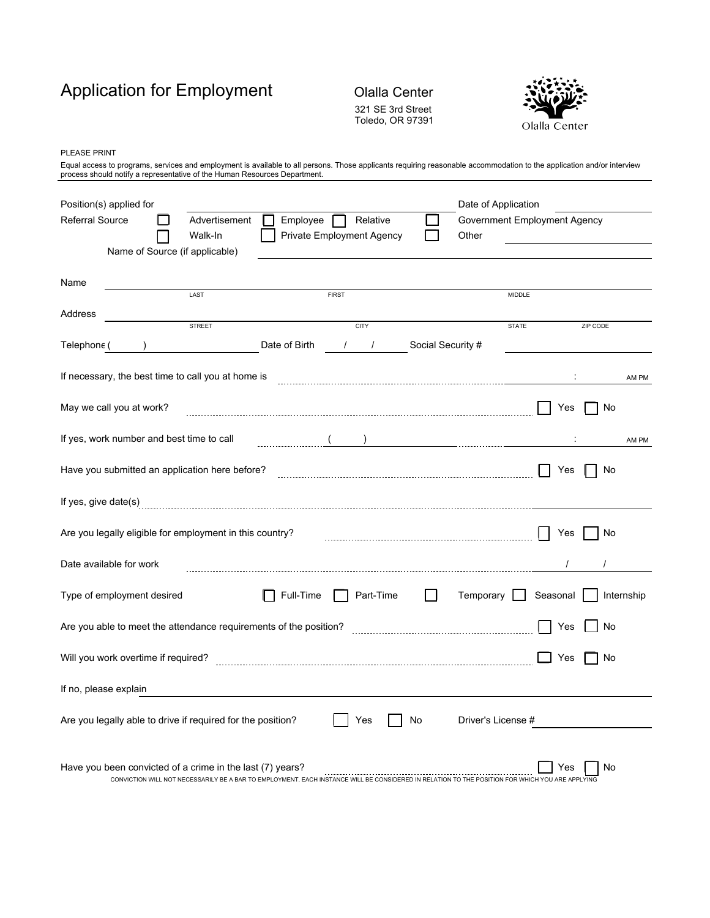# Application for Employment Olalla Center

## 321 SE 3rd Street Toledo, OR 97391



PLEASE PRINT

Equal access to programs, services and employment is available to all persons. Those applicants requiring reasonable accommodation to the application and/or interview<br>process should notify a representative of the Human Res

| Position(s) applied for                                                                                                                                                                                      |               |                                                |                           |                   | Date of Application |                              |          |            |
|--------------------------------------------------------------------------------------------------------------------------------------------------------------------------------------------------------------|---------------|------------------------------------------------|---------------------------|-------------------|---------------------|------------------------------|----------|------------|
| <b>Referral Source</b>                                                                                                                                                                                       | Advertisement | Employee                                       | Relative                  |                   |                     | Government Employment Agency |          |            |
| Name of Source (if applicable)                                                                                                                                                                               | Walk-In       |                                                | Private Employment Agency |                   | Other               |                              |          |            |
|                                                                                                                                                                                                              |               |                                                |                           |                   |                     |                              |          |            |
| Name                                                                                                                                                                                                         |               |                                                |                           |                   |                     |                              |          |            |
|                                                                                                                                                                                                              | LAST          |                                                | <b>FIRST</b>              |                   |                     | <b>MIDDLE</b>                |          |            |
| Address                                                                                                                                                                                                      | <b>STREET</b> |                                                | <b>CITY</b>               |                   |                     | <b>STATE</b>                 | ZIP CODE |            |
| Telephone (                                                                                                                                                                                                  |               | Date of Birth                                  | $\frac{1}{2}$             | Social Security # |                     |                              |          |            |
| If necessary, the best time to call you at home is                                                                                                                                                           |               |                                                |                           |                   |                     |                              |          | AM PM      |
| May we call you at work?                                                                                                                                                                                     |               |                                                |                           |                   |                     | Yes                          | No       |            |
| If yes, work number and best time to call                                                                                                                                                                    |               | $\begin{pmatrix} 1 & 1 \\ 1 & 1 \end{pmatrix}$ |                           |                   |                     |                              |          | AM PM      |
|                                                                                                                                                                                                              |               |                                                |                           |                   |                     |                              |          |            |
| Have you submitted an application here before?                                                                                                                                                               |               |                                                |                           |                   |                     | Yes                          | No       |            |
|                                                                                                                                                                                                              |               |                                                |                           |                   |                     |                              |          |            |
| Are you legally eligible for employment in this country?                                                                                                                                                     |               |                                                |                           |                   |                     | Yes                          | No       |            |
| Date available for work                                                                                                                                                                                      |               |                                                |                           |                   |                     |                              |          |            |
| Type of employment desired                                                                                                                                                                                   |               | Full-Time                                      | Part-Time                 | $\mathsf{L}$      | Temporary           | Seasonal                     |          | Internship |
| Are you able to meet the attendance requirements of the position?                                                                                                                                            |               |                                                |                           |                   |                     | Yes                          | No       |            |
| Will you work overtime if required?                                                                                                                                                                          |               |                                                |                           |                   |                     | Yes                          | No       |            |
| If no, please explain                                                                                                                                                                                        |               |                                                |                           |                   |                     |                              |          |            |
| Are you legally able to drive if required for the position?                                                                                                                                                  |               |                                                | Yes                       | No                | Driver's License #  |                              |          |            |
| Have you been convicted of a crime in the last (7) years?<br>CONVICTION WILL NOT NECESSARILY BE A BAR TO EMPLOYMENT. EACH INSTANCE WILL BE CONSIDERED IN RELATION TO THE POSITION FOR WHICH YOU ARE APPLYING |               |                                                |                           |                   |                     |                              | No       |            |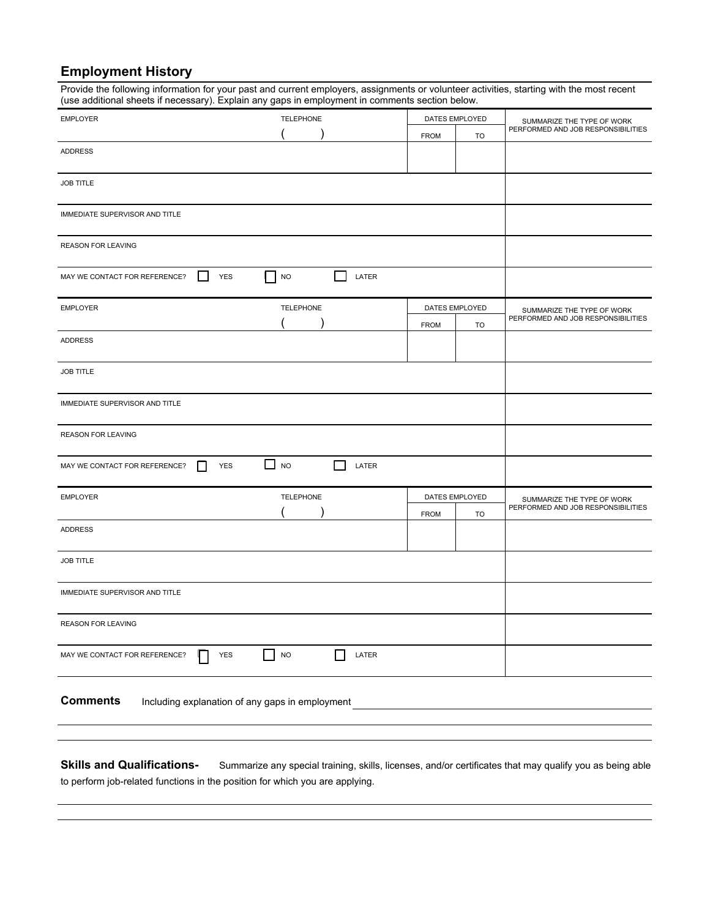### **Employment History**

Provide the following information for your past and current employers, assignments or volunteer activities, starting with the most recent (use additional sheets if necessary). Explain any gaps in employment in comments section below.

| <b>EMPLOYER</b>                     |                     | <b>TELEPHONE</b>                                |            | DATES EMPLOYED                     |                | SUMMARIZE THE TYPE OF WORK         |  |
|-------------------------------------|---------------------|-------------------------------------------------|------------|------------------------------------|----------------|------------------------------------|--|
|                                     |                     |                                                 |            | <b>FROM</b>                        | <b>TO</b>      | PERFORMED AND JOB RESPONSIBILITIES |  |
| <b>ADDRESS</b>                      |                     |                                                 |            |                                    |                |                                    |  |
|                                     |                     |                                                 |            |                                    |                |                                    |  |
| <b>JOB TITLE</b>                    |                     |                                                 |            |                                    |                |                                    |  |
|                                     |                     |                                                 |            |                                    |                |                                    |  |
| IMMEDIATE SUPERVISOR AND TITLE      |                     |                                                 |            |                                    |                |                                    |  |
| <b>REASON FOR LEAVING</b>           |                     |                                                 |            |                                    |                |                                    |  |
| MAY WE CONTACT FOR REFERENCE?       | <b>YES</b>          | <b>NO</b>                                       | LATER      |                                    |                |                                    |  |
| <b>EMPLOYER</b>                     |                     | <b>TELEPHONE</b>                                |            |                                    | DATES EMPLOYED | SUMMARIZE THE TYPE OF WORK         |  |
|                                     |                     |                                                 |            | <b>FROM</b>                        | TO             | PERFORMED AND JOB RESPONSIBILITIES |  |
| <b>ADDRESS</b>                      |                     |                                                 |            |                                    |                |                                    |  |
| JOB TITLE                           |                     |                                                 |            |                                    |                |                                    |  |
| IMMEDIATE SUPERVISOR AND TITLE      |                     |                                                 |            |                                    |                |                                    |  |
| REASON FOR LEAVING                  |                     |                                                 |            |                                    |                |                                    |  |
| MAY WE CONTACT FOR REFERENCE?       | YES<br>$\mathsf{L}$ | $\Box$ NO                                       | L<br>LATER |                                    |                |                                    |  |
| <b>EMPLOYER</b><br><b>TELEPHONE</b> |                     | DATES EMPLOYED                                  |            | SUMMARIZE THE TYPE OF WORK         |                |                                    |  |
|                                     |                     | <b>FROM</b><br>TO                               |            | PERFORMED AND JOB RESPONSIBILITIES |                |                                    |  |
| <b>ADDRESS</b>                      |                     |                                                 |            |                                    |                |                                    |  |
| <b>JOB TITLE</b>                    |                     |                                                 |            |                                    |                |                                    |  |
| IMMEDIATE SUPERVISOR AND TITLE      |                     |                                                 |            |                                    |                |                                    |  |
| REASON FOR LEAVING                  |                     |                                                 |            |                                    |                |                                    |  |
| MAY WE CONTACT FOR REFERENCE?       | <b>YES</b>          | <b>NO</b>                                       | LATER      |                                    |                |                                    |  |
| <b>Comments</b>                     |                     | Including explanation of any gaps in employment |            |                                    |                |                                    |  |

Skills and Qualifications-<br>Summarize any special training, skills, license, and/or certificates that may qualify you as being able to perform job-related functions in the position for which you are applying.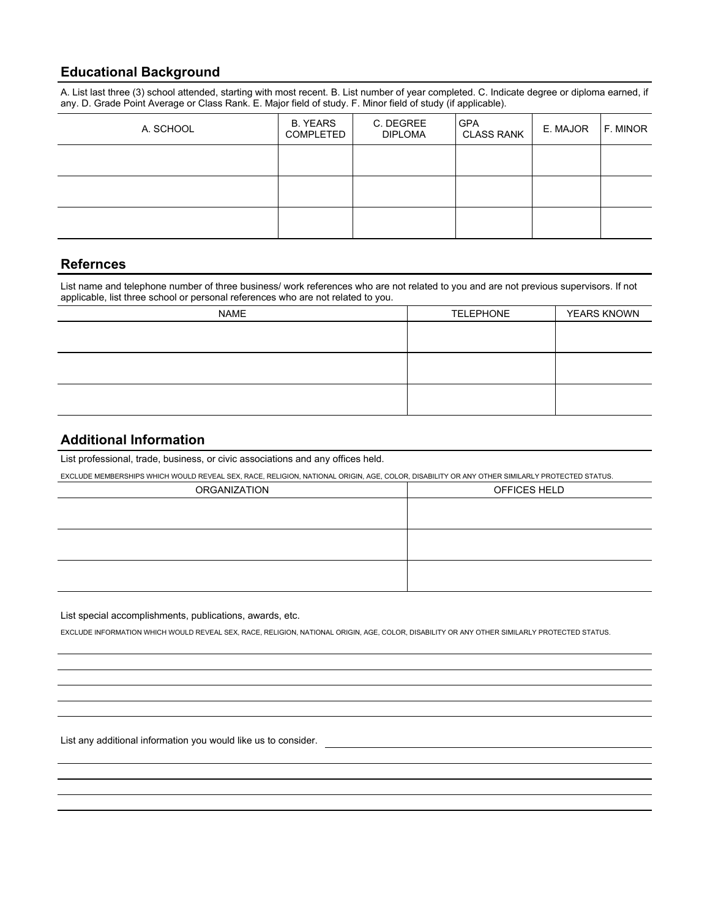#### **Educational Background**

A. List last three (3) school attended, starting with most recent. B. List number of year completed. C. Indicate degree or diploma earned, if any. D. Grade Point Average or Class Rank. E. Major field of study. F. Minor field of study (if applicable).

| A. SCHOOL | <b>B. YEARS</b><br>COMPLETED | C. DEGREE<br><b>DIPLOMA</b> | <b>GPA</b><br><b>CLASS RANK</b> | E. MAJOR | F. MINOR |
|-----------|------------------------------|-----------------------------|---------------------------------|----------|----------|
|           |                              |                             |                                 |          |          |
|           |                              |                             |                                 |          |          |
|           |                              |                             |                                 |          |          |

#### **Refernces**

List name and telephone number of three business/ work references who are not related to you and are not previous supervisors. If not applicable, list three school or personal references who are not related to you.

| <b>NAME</b> | <b>TELEPHONE</b> | <b>YEARS KNOWN</b> |
|-------------|------------------|--------------------|
|             |                  |                    |
|             |                  |                    |
|             |                  |                    |
|             |                  |                    |
|             |                  |                    |
|             |                  |                    |

#### **Additional Information**

List professional, trade, business, or civic associations and any offices held.

EXCLUDE MEMBERSHIPS WHICH WOULD REVEAL SEX, RACE, RELIGION, NATIONAL ORIGIN, AGE, COLOR, DISABILITY OR ANY OTHER SIMILARLY PROTECTED STATUS.

| ORGANIZATION | OFFICES HELD |
|--------------|--------------|
|              |              |
|              |              |
|              |              |
|              |              |
|              |              |
|              |              |

List special accomplishments, publications, awards, etc.

EXCLUDE INFORMATION WHICH WOULD REVEAL SEX, RACE, RELIGION, NATIONAL ORIGIN, AGE, COLOR, DISABILITY OR ANY OTHER SIMILARLY PROTECTED STATUS.

List any additional information you would like us to consider.